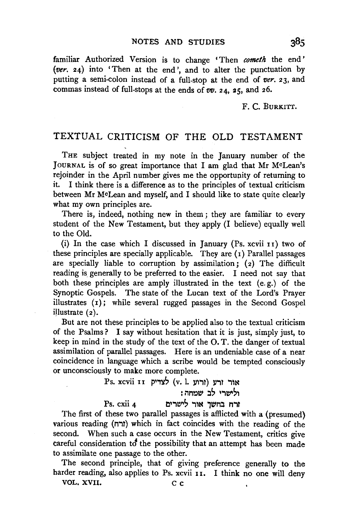familiar Authorized Version is to change ' Then *cometh* the end ' *(ver.* 24) into 'Then at the end', and to alter the punctuation by putting a semi-colon instead of a full-stop at the end of *ver.* 23, and commas instead of full-stops at the ends of  $vv$ . 24, 25, and 26.

F. C. BURKITT.

## TEXTUAL CRITICISM OF THE OLD TESTAMENT

THE subject treated in my note in the January number of the JOURNAL is of so great importance that I am glad that Mr McLean's rejoinder in the April number gives me the opportunity of returning to it. I think there is a difference as to the principles of textual criticism between Mr McLean and myself, and I should like to state quite clearly what my own principles are.

There is, indeed, nothing new in them ; they are familiar to every student of the New Testament, but they apply (I believe) equally well to the Old.

(i) In the case which I discussed in January (Ps. xcvii  $11$ ) two of these principles are specially applicable. They are  $(1)$  Parallel passages are specially liable to corruption by assimilation;  $(z)$  The difficult reading is generally to be preferred to the easier. I need not say that both these principles are amply illustrated in the text (e. g.) of the Synoptic Gospels. The state of the Lucan text of the Lord's Prayer illustrates (1); while several rugged passages in the Second Gospel illustrate  $(2)$ .

But are not these principles to be applied also to the textual criticism of the Psalms? I say without hesitation that it is just, simply just, to keep in mind in the study of the text of the O. T. the danger of textual assimilation of parallel passages. Here is an undeniable case of a near coincidence in language which a scribe would be tempted consciously or unconsciously to make more complete.

Ps. xcvii ווי לצדיק (v. 1. אור ורע : ולישרי לב<sup>'</sup> שמחה

Ps. cxii 4  $\overline{1}$  דרח בחשך אור לישרים

The first of these two parallel passages is afflicted with a (presumed} various reading (ורח) which in fact coincides with the reading of the second. When such a case occurs in the New Testament, critics give careful consideration  $\sigma$  the possibility that an attempt has been made to assimilate one passage to the other.

The second principle, that of giving preference generally to the harder reading, also applies to Ps. xcvii II. I think no one will deny VOL. XVII. C c

 $38<sub>5</sub>$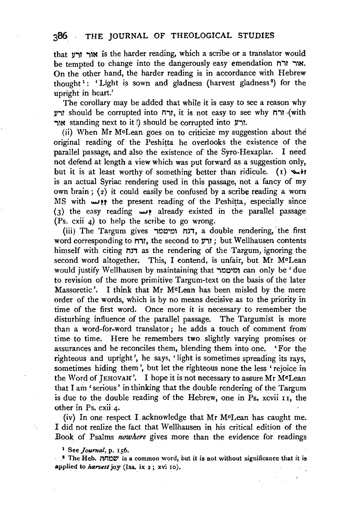that אוך ורע is the harder reading, which a scribe or a translator would be tempted to change into the dangerously easy emendation אור זרח. On the other hand, the harder reading is in accordance with Hebrew  $t_1$  is the solution of  $t_1$  is sown and gladness (harvest gladness<sup>2</sup>) for the upright in heart.'

The corollary may be added that while it is easy to see a reason why V"1T should be corrupted into M"1T, it is not easy to see why M"1T .(with ור standing next to it !) should be corrupted into אור

(ii) When Mr McLean goes on to criticize my suggestion about the original reading of the Peshitta he overlooks the existence of the parallel passage, and also the existence of the Syro-Hexaplar. I need not defend at length a view which was put forward as a suggestion only, but it is at least worthy of something better than ridicule. (1)  $\leftrightarrow$ is an actual Syriac rendering used in this passage, not a fancy of my own brain; (2) it could easily be confused by a scribe reading a worn MS with **....**if the present reading of the Peshitta, especially since (3) the easy reading *....i?* already existed in the parallel passage  $(S<sub>s</sub>, cxii<sub>4</sub>)$  to help the scribe to go wrong.

(iii) The Targum gives רנח ומיטמר, a double rendering, the first word corresponding to לרח; the second to ורש; but Wellhausen contents himself with citing mi as the rendering of the Targum, ignoring the second word altogether. This, I contend, is unfair, but Mr McLean would justify W ellhausen by maintaining that "10~'0, can only be ' due to revision of the more primitive Targum-text on the basis of the later Massoretic '. I think that Mr McLean has been misled by the mere order of the words, which is by no means decisive as to the priority in time of the first word. Once more it is necessary to remember the disturbing influence of the parallel passage. The Targumist is more than a word-for-word translator; he adds a touch of comment from time to time. Here he remembers two slightly varying promises or assurances and he reconciles them, blending them into one. 'For the righteous and upright', he says, 'light is sometimes spreading its rays, sometimes hiding them', but let the righteous none the less 'rejoice in the Word of JEHOVAH'. I hope it is not necessary to assure Mr McLean that I am 'serious ' in thinking that the double rendering of the Targum is due to the double reading of the Hebrew, one in Ps. xcvii 11, the other in Ps. cxii 4.

(iv) In one respect I. acknowledge that Mr McLean has caught me. I did not realize the fact that Wellhausen in his critical edition of the Book of Psalms *nowhere* gives more than the evidence for. readings

1 See *Journal,* p. 156 .

. 1 T.he Heb. MMOW is a common word, but it is not without significance that it is ~p.plied to *harvest* joy (Isa. ix 2 ; xvi ro ).

 $\mathbb{Z}^{\mathbb{Z}}$  and  $\mathbb{Z}^{\mathbb{Z}}$  and  $\mathbb{Z}^{\mathbb{Z}}$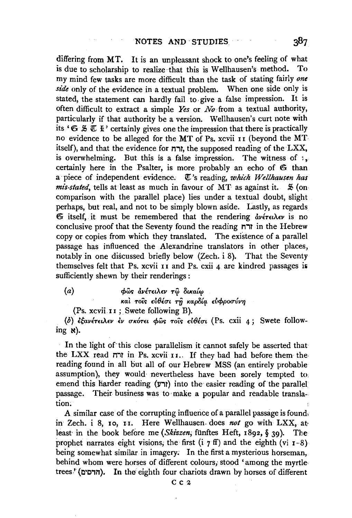differing from MT. It is an unpleasant shock to one's feeling of what is due to scholarship to realize that this is Wellhausen's method. To my mind few tasks are more difficult than the task of stating fairly one side only of the evidence in a textual problem. When one side only is stated, the statement can hardly fail to give a false impression. It is often difficult to extract a simple  $Yes$  or  $No$  from a textual authority, particularly if that authority be a version. Wellhausen's curt note with its ' $\mathfrak{S} \mathfrak{S} \mathfrak{C}$  if' certainly gives one the impression that there is practically no evidence to be alleged for the MT of Ps. xcvii 11 (beyond the MT itself), and that the evidence for  $n\pi$ , the supposed reading of the LXX, is overwhelming. But this is a false impression. The witness of  $\mathbf{1}$ . certainly here in the Psalter, is more probably an echo of G than a piece of independent evidence. *U*'s reading, which Wellhausen has *mis-stated*, tells at least as much in favour of MT as against it.  $\lesssim$  (oncomparison with the parallel place) lies under a textual doubt, slight perhaps, but real, and not to be simply blown aside. Lastly, as regards **E** itself, it must be remembered that the rendering *dv*erelar is no conclusive proof that the Seventy found the reading  $\pi$  in the Hebrew copy or copies from which they translated. The existence of a parallel passage has influenced the Alexandrine translators in other places, notably in one discussed briefly below (Zech. i 8). That the Seventy themselves felt that Ps, xcvii 11 and Ps, cxii 4 are kindred passages is sufficiently shewn by their renderings:

 $(a)$ φώς ανέτειλεν τω δικαίω και τοις εύθέσι τη καρδία εύφροσύνη

(Ps. xcvii II; Swete following B).

(b) εξανέτειλεν εν σκότει φώς τοις εύθέσι (Ps. cxii 4; Swete follow $ing$   $\aleph$ ).

In the light of this close parallelism it cannot safely be asserted that the LXX read חזו Ps. xcvii 11. If they had had before them the reading found in all but all of our Hebrew MSS (an entirely probable assumption), they would nevertheless have been sorely tempted to emend this harder reading ( $y \rightarrow$ ) into the easier reading of the parallel passage. Their business was to make a popular and readable translation.

A similar case of the corrupting influence of a parallel passage is found. in Zech. i 8, 10, 11. Here Wellhausen does not go with LXX, atleast in the book before me (Skizzen, fünftes Heft, 1892, § 30). The prophet narrates eight visions, the first  $(i \, 7 \, \text{ff})$  and the eighth (vi  $r-8$ ) being somewhat similar in imagery. In the first a mysterious horseman. behind whom were horses of different colours, stood 'among the myrtletrees.' (הדסים). In the eighth four chariots drawn by horses of different